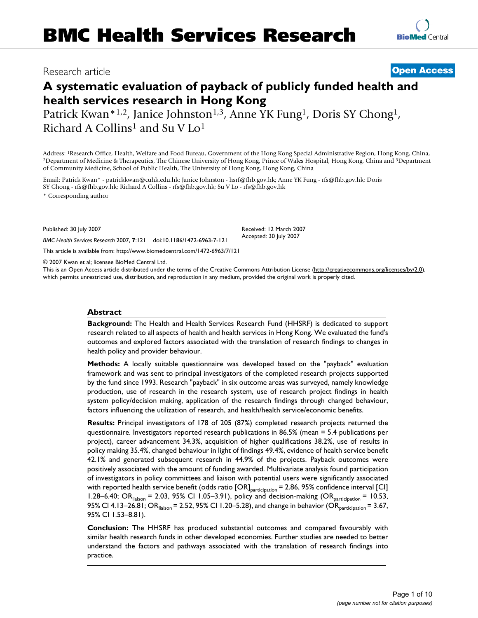# Research article **[Open Access](http://www.biomedcentral.com/info/about/charter/)**

# **A systematic evaluation of payback of publicly funded health and health services research in Hong Kong**

Patrick Kwan\*1,2, Janice Johnston<sup>1,3</sup>, Anne YK Fung<sup>1</sup>, Doris SY Chong<sup>1</sup>, Richard A Collins<sup>1</sup> and Su V Lo<sup>1</sup>

Address: <sup>1</sup>Research Office, Health, Welfare and Food Bureau, Government of the Hong Kong Special Administrative Region, Hong Kong, China, <sup>2</sup>Department of Medicine & Therapeutics, The Chinese University of Hong Kong, Prin of Community Medicine, School of Public Health, The University of Hong Kong, Hong Kong, China

Email: Patrick Kwan\* - patrickkwan@cuhk.edu.hk; Janice Johnston - hsrf@fhb.gov.hk; Anne YK Fung - rfs@fhb.gov.hk; Doris SY Chong - rfs@fhb.gov.hk; Richard A Collins - rfs@fhb.gov.hk; Su V Lo - rfs@fhb.gov.hk

\* Corresponding author

Published: 30 July 2007 Received: 12 March 2007 Accepted: 30 July 2007 *BMC Health Services Research* 2007, **7**:121 doi:10.1186/1472-6963-7-121

© 2007 Kwan et al; licensee BioMed Central Ltd.

[This article is available from: http://www.biomedcentral.com/1472-6963/7/121](http://www.biomedcentral.com/1472-6963/7/121) 

This is an Open Access article distributed under the terms of the Creative Commons Attribution License [\(http://creativecommons.org/licenses/by/2.0\)](http://creativecommons.org/licenses/by/2.0), which permits unrestricted use, distribution, and reproduction in any medium, provided the original work is properly cited.

#### **Abstract**

**Background:** The Health and Health Services Research Fund (HHSRF) is dedicated to support research related to all aspects of health and health services in Hong Kong. We evaluated the fund's outcomes and explored factors associated with the translation of research findings to changes in health policy and provider behaviour.

**Methods:** A locally suitable questionnaire was developed based on the "payback" evaluation framework and was sent to principal investigators of the completed research projects supported by the fund since 1993. Research "payback" in six outcome areas was surveyed, namely knowledge production, use of research in the research system, use of research project findings in health system policy/decision making, application of the research findings through changed behaviour, factors influencing the utilization of research, and health/health service/economic benefits.

**Results:** Principal investigators of 178 of 205 (87%) completed research projects returned the questionnaire. Investigators reported research publications in 86.5% (mean = 5.4 publications per project), career advancement 34.3%, acquisition of higher qualifications 38.2%, use of results in policy making 35.4%, changed behaviour in light of findings 49.4%, evidence of health service benefit 42.1% and generated subsequent research in 44.9% of the projects. Payback outcomes were positively associated with the amount of funding awarded. Multivariate analysis found participation of investigators in policy committees and liaison with potential users were significantly associated with reported health service benefit (odds ratio [OR]<sub>participation</sub> = 2.86, 95% confidence interval [CI] 1.28–6.40; OR $_{\text{liaison}}$  = 2.03, 95% CI 1.05–3.91), policy and decision-making (OR $_{\text{participation}}$  = 10.53, 95% CI 4.13–26.81; OR $_{\text{liations}}$  = 2.52, 95% CI 1.20–5.28), and change in behavior (OR $_{\text{partification}}$  = 3.67, 95% CI 1.53–8.81).

**Conclusion:** The HHSRF has produced substantial outcomes and compared favourably with similar health research funds in other developed economies. Further studies are needed to better understand the factors and pathways associated with the translation of research findings into practice.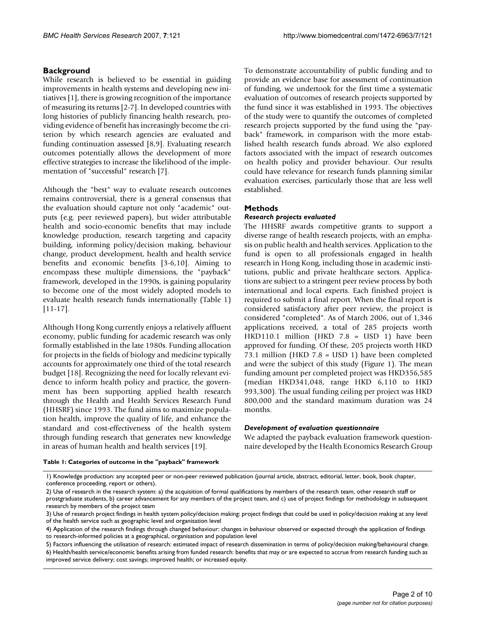# **Background**

While research is believed to be essential in guiding improvements in health systems and developing new initiatives [1], there is growing recognition of the importance of measuring its returns [2-7]. In developed countries with long histories of publicly financing health research, providing evidence of benefit has increasingly become the criterion by which research agencies are evaluated and funding continuation assessed [8,9]. Evaluating research outcomes potentially allows the development of more effective strategies to increase the likelihood of the implementation of "successful" research [7].

 Although the "best" way to evaluate research outcomes to become one of the most widely adopted models to remains controversial, there is a general consensus that the evaluation should capture not only "academic" outputs (e.g. peer reviewed papers), but wider attributable health and socio-economic benefits that may include knowledge production, research targeting and capacity building, informing policy/decision making, behaviour change, product development, health and health service benefits and economic benefits [3-6,10]. Aiming to encompass these multiple dimensions, the "payback" framework, developed in the 1990s, is gaining popularity evaluate health research funds internationally (Table 1) [11-17].

Although Hong Kong currently enjoys a relatively affluent economy, public funding for academic research was only formally established in the late 1980s. Funding allocation for projects in the fields of biology and medicine typically accounts for approximately one third of the total research budget [18]. Recognizing the need for locally relevant evidence to inform health policy and practice, the government has been supporting applied health research through the Health and Health Services Research Fund (HHSRF) since 1993. The fund aims to maximize population health, improve the quality of life, and enhance the standard and cost-effectiveness of the health system through funding research that generates new knowledge in areas of human health and health services [19].

 evaluation of outcomes of research projects supported by the fund since it was established in 1993. The objectives of the study were to quantify the outcomes of completed To demonstrate accountability of public funding and to provide an evidence base for assessment of continuation of funding, we undertook for the first time a systematic research projects supported by the fund using the "payback" framework, in comparison with the more established health research funds abroad. We also explored factors associated with the impact of research outcomes on health policy and provider behaviour. Our results could have relevance for research funds planning similar evaluation exercises, particularly those that are less well established.

# **Methods**

# *Research projects evaluated*

 required to submit a final report. When the final report is The HHSRF awards competitive grants to support a diverse range of health research projects, with an emphasis on public health and health services. Application to the fund is open to all professionals engaged in health research in Hong Kong, including those in academic institutions, public and private healthcare sectors. Applications are subject to a stringent peer review process by both international and local experts. Each finished project is considered satisfactory after peer review, the project is considered "completed". As of March 2006, out of 1,346 applications received, a total of 285 projects worth HKD110.1 million (HKD 7.8 = USD 1) have been approved for funding. Of these, 205 projects worth HKD 73.1 million (HKD 7.8 = USD 1) have been completed and were the subject of this study (Figure 1). The mean funding amount per completed project was HKD356,585 (median HKD341,048, range HKD 6,110 to HKD 993,300). The usual funding ceiling per project was HKD 800,000 and the standard maximum duration was 24 months.

# *Development of evaluation questionnaire*

We adapted the payback evaluation framework questionnaire developed by the Health Economics Research Group

#### **Table 1: Categories of outcome in the "payback" framework**

<sup>1)</sup> Knowledge production: any accepted peer or non-peer reviewed publication (journal article, abstract, editorial, letter, book, book chapter, conference proceeding, report or others).

<sup>2)</sup> Use of research in the research system: a) the acquisition of formal qualifications by members of the research team, other research staff or prostgraduate students, b) career advancement for any members of the project team, and c) use of project findings for methodology in subsequent research by members of the project team

<sup>3)</sup> Use of research project findings in health system policy/decision making: project findings that could be used in policy/decision making at any level of the health service such as geographic level and organisation level

<sup>4)</sup> Application of the research findings through changed behaviour: changes in behaviour observed or expected through the application of findings to research-informed policies at a geographical, organisation and population level

<sup>5)</sup> Factors influencing the utilisation of research: estimated impact of research dissemination in terms of policy/decision making/behavioural change. 6) Health/health service/economic benefits arising from funded research: benefits that may or are expected to accrue from research funding such as improved service delivery; cost savings; improved health; or increased equity.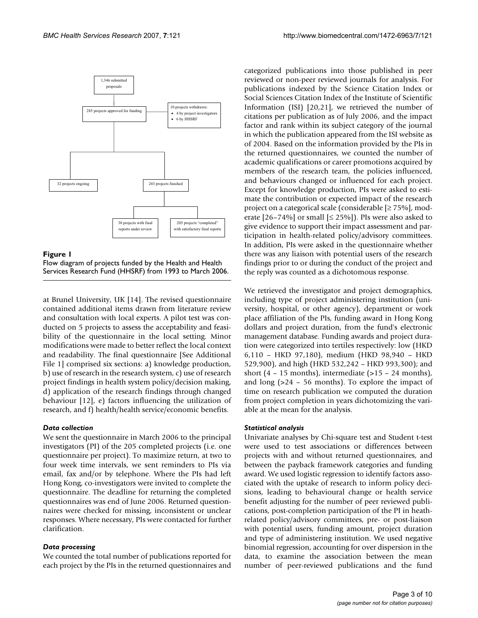

Flow diagram of projects funded by the Health and Health Services Research Fund (HHSRF) from 1993 to March 2006 **Figure 1** 

Flow diagram of projects funded by the Health and Health Services Research Fund (HHSRF) from 1993 to March 2006.

 ducted on 5 projects to assess the acceptability and feasi- d) application of the research findings through changed at Brunel University, UK [14]. The revised questionnaire contained additional items drawn from literature review and consultation with local experts. A pilot test was conbility of the questionnaire in the local setting. Minor modifications were made to better reflect the local context and readability. The final questionnaire [See Additional File 1] comprised six sections: a) knowledge production, b) use of research in the research system, c) use of research project findings in health system policy/decision making, behaviour [12], e) factors influencing the utilization of research, and f) health/health service/economic benefits.

### *Data collection*

 questionnaires was end of June 2006. Returned question-We sent the questionnaire in March 2006 to the principal investigators (PI) of the 205 completed projects (i.e. one questionnaire per project). To maximize return, at two to four week time intervals, we sent reminders to PIs via email, fax and/or by telephone. Where the PIs had left Hong Kong, co-investigators were invited to complete the questionnaire. The deadline for returning the completed naires were checked for missing, inconsistent or unclear responses. Where necessary, PIs were contacted for further clarification.

#### *Data processing*

 each project by the PIs in the returned questionnaires and We counted the total number of publications reported for

 and behaviours changed or influenced for each project. findings prior to or during the conduct of the project and categorized publications into those published in peer reviewed or non-peer reviewed journals for analysis. For publications indexed by the Science Citation Index or Social Sciences Citation Index of the Institute of Scientific Information (ISI) [20,21], we retrieved the number of citations per publication as of July 2006, and the impact factor and rank within its subject category of the journal in which the publication appeared from the ISI website as of 2004. Based on the information provided by the PIs in the returned questionnaires, we counted the number of academic qualifications or career promotions acquired by members of the research team, the policies influenced, Except for knowledge production, PIs were asked to estimate the contribution or expected impact of the research project on a categorical scale (considerable [≥ 75%], moderate  $[26-74\%]$  or small  $[≤ 25\%]$ ). PIs were also asked to give evidence to support their impact assessment and participation in health-related policy/advisory committees. In addition, PIs were asked in the questionnaire whether there was any liaison with potential users of the research the reply was counted as a dichotomous response.

 529,900), and high (HKD 532,242 – HKD 993,300); and We retrieved the investigator and project demographics, including type of project administering institution (university, hospital, or other agency), department or work place affiliation of the PIs, funding award in Hong Kong dollars and project duration, from the fund's electronic management database. Funding awards and project duration were categorized into tertiles respectively: low (HKD 6,110 – HKD 97,180), medium (HKD 98,940 – HKD short (4 – 15 months), intermediate  $(>15 - 24$  months), and long (>24 – 56 months). To explore the impact of time on research publication we computed the duration from project completion in years dichotomizing the variable at the mean for the analysis.

#### *Statistical analysis*

 data, to examine the association between the mean Univariate analyses by Chi-square test and Student t-test were used to test associations or differences between projects with and without returned questionnaires, and between the payback framework categories and funding award. We used logistic regression to identify factors associated with the uptake of research to inform policy decisions, leading to behavioural change or health service benefit adjusting for the number of peer reviewed publications, post-completion participation of the PI in heathrelated policy/advisory committees, pre- or post-liaison with potential users, funding amount, project duration and type of administering institution. We used negative binomial regression, accounting for over dispersion in the number of peer-reviewed publications and the fund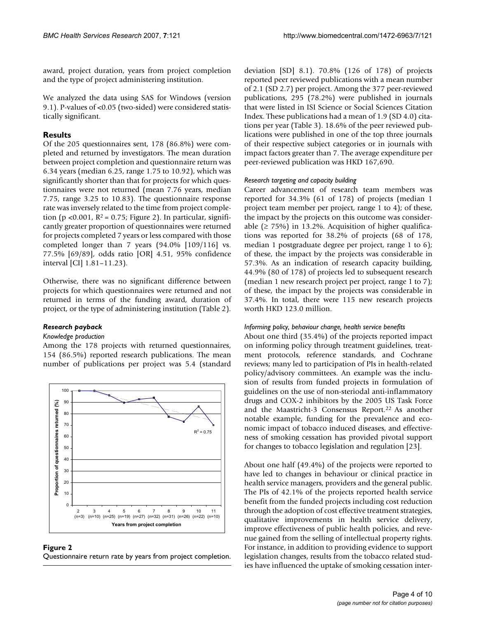award, project duration, years from project completion and the type of project administering institution.

We analyzed the data using SAS for Windows (version 9.1). P-values of <0.05 (two-sided) were considered statistically significant.

# **Results**

 7.75, range 3.25 to 10.83). The questionnaire response Of the 205 questionnaires sent, 178 (86.8%) were completed and returned by investigators. The mean duration between project completion and questionnaire return was 6.34 years (median 6.25, range 1.75 to 10.92), which was significantly shorter than that for projects for which questionnaires were not returned (mean 7.76 years, median rate was inversely related to the time from project completion (p <0.001,  $R^2$  = 0.75; Figure 2). In particular, significantly greater proportion of questionnaires were returned for projects completed 7 years or less compared with those completed longer than 7 years (94.0% [109/116] vs. 77.5% [69/89], odds ratio [OR] 4.51, 95% confidence interval [CI] 1.81–11.23).

 projects for which questionnaires were returned and not Otherwise, there was no significant difference between returned in terms of the funding award, duration of project, or the type of administering institution (Table 2).

# *Research payback*

### *Knowledge production*

Among the 178 projects with returned questionnaires, 154 (86.5%) reported research publications. The mean number of publications per project was 5.4 (standard





deviation [SD] 8.1). 70.8% (126 of 178) of projects reported peer reviewed publications with a mean number of 2.1 (SD 2.7) per project. Among the 377 peer-reviewed publications, 295 (78.2%) were published in journals that were listed in ISI Science or Social Sciences Citation Index. These publications had a mean of 1.9 (SD 4.0) citations per year (Table 3). 18.6% of the peer reviewed publications were published in one of the top three journals of their respective subject categories or in journals with impact factors greater than 7. The average expenditure per peer-reviewed publication was HKD 167,690.

### *Research targeting and capacity building*

 median 1 postgraduate degree per project, range 1 to 6); 57.3%. As an indication of research capacity building, 44.9% (80 of 178) of projects led to subsequent research Career advancement of research team members was reported for 34.3% (61 of 178) of projects (median 1 project team member per project, range 1 to 4); of these, the impact by the projects on this outcome was considerable ( $\geq$  75%) in 13.2%. Acquisition of higher qualifications was reported for 38.2% of projects (68 of 178, of these, the impact by the projects was considerable in (median 1 new research project per project, range 1 to 7); of these, the impact by the projects was considerable in 37.4%. In total, there were 115 new research projects worth HKD 123.0 million.

# *Informing policy, behaviour change, health service benefits*

 guidelines on the use of non-steriodal anti-inflammatory About one third (35.4%) of the projects reported impact on informing policy through treatment guidelines, treatment protocols, reference standards, and Cochrane reviews; many led to participation of PIs in health-related policy/advisory committees. An example was the inclusion of results from funded projects in formulation of drugs and COX-2 inhibitors by the 2005 US Task Force and the Maastricht-3 Consensus Report.<sup>22</sup> As another notable example, funding for the prevalence and economic impact of tobacco induced diseases, and effectiveness of smoking cessation has provided pivotal support for changes to tobacco legislation and regulation [23].

About one half (49.4%) of the projects were reported to have led to changes in behaviour or clinical practice in health service managers, providers and the general public. The PIs of 42.1% of the projects reported health service benefit from the funded projects including cost reduction through the adoption of cost effective treatment strategies, qualitative improvements in health service delivery, improve effectiveness of public health policies, and revenue gained from the selling of intellectual property rights. For instance, in addition to providing evidence to support legislation changes, results from the tobacco related studies have influenced the uptake of smoking cessation inter-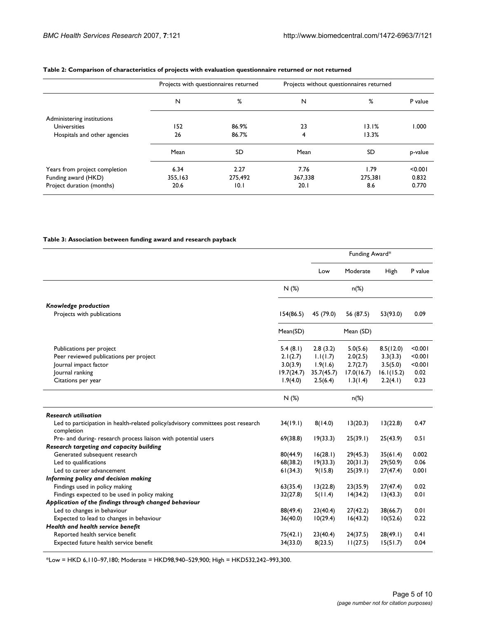|                               | Projects with questionnaires returned |         | Projects without questionnaires returned |           |         |
|-------------------------------|---------------------------------------|---------|------------------------------------------|-----------|---------|
|                               | N                                     | %       | N                                        | %         | P value |
| Administering institutions    |                                       |         |                                          |           |         |
| <b>Universities</b>           | 152                                   | 86.9%   | 23                                       | 13.1%     | 1.000   |
| Hospitals and other agencies  | 26                                    | 86.7%   | 4                                        | 13.3%     |         |
|                               | Mean                                  | SD      | Mean                                     | <b>SD</b> | p-value |
| Years from project completion | 6.34                                  | 2.27    | 7.76                                     | 1.79      | < 0.001 |
| Funding award (HKD)           | 355,163                               | 275,492 | 367,338                                  | 275.381   | 0.832   |
| Project duration (months)     | 20.6                                  | 10.1    | 20.1                                     | 8.6       | 0.770   |

# **Table 2: Comparison of characteristics of projects with evaluation questionnaire returned or not returned**

#### **Table 3: Association between funding award and research payback**

|                                                                                               |            | Funding Award* |            |            |         |
|-----------------------------------------------------------------------------------------------|------------|----------------|------------|------------|---------|
|                                                                                               |            | Low            | Moderate   | High       | P value |
|                                                                                               | N(%)       |                | $n(\%)$    |            |         |
| Knowledge production                                                                          |            |                |            |            |         |
| Projects with publications                                                                    | 154(86.5)  | 45 (79.0)      | 56 (87.5)  | 53(93.0)   | 0.09    |
|                                                                                               | Mean(SD)   |                | Mean (SD)  |            |         |
| Publications per project                                                                      | 5.4(8.1)   | 2.8(3.2)       | 5.0(5.6)   | 8.5(12.0)  | < 0.001 |
| Peer reviewed publications per project                                                        | 2.1(2.7)   | 1.1(1.7)       | 2.0(2.5)   | 3.3(3.3)   | < 0.001 |
| Journal impact factor                                                                         | 3.0(3.9)   | 1.9(1.6)       | 2.7(2.7)   | 3.5(5.0)   | < 0.001 |
| Journal ranking                                                                               | 19.7(24.7) | 35.7(45.7)     | 17.0(16.7) | 16.1(15.2) | 0.02    |
| Citations per year                                                                            | 1.9(4.0)   | 2.5(6.4)       | 1.3(1.4)   | 2.2(4.1)   | 0.23    |
|                                                                                               | N(%)       |                | $n(\%)$    |            |         |
| <b>Research utilisation</b>                                                                   |            |                |            |            |         |
| Led to participation in health-related policy/advisory committees post research<br>completion | 34(19.1)   | 8(14.0)        | 13(20.3)   | 13(22.8)   | 0.47    |
| Pre- and during- research process liaison with potential users                                | 69(38.8)   | 19(33.3)       | 25(39.1)   | 25(43.9)   | 0.51    |
| Research targeting and capacity building                                                      |            |                |            |            |         |
| Generated subsequent research                                                                 | 80(44.9)   | 16(28.1)       | 29(45.3)   | 35(61.4)   | 0.002   |
| Led to qualifications                                                                         | 68(38.2)   | 19(33.3)       | 20(31.3)   | 29(50.9)   | 0.06    |
| Led to career advancement                                                                     | 61(34.3)   | 9(15.8)        | 25(39.1)   | 27(47.4)   | 0.001   |
| Informing policy and decision making                                                          |            |                |            |            |         |
| Findings used in policy making                                                                | 63(35.4)   | 13(22.8)       | 23(35.9)   | 27(47.4)   | 0.02    |
| Findings expected to be used in policy making                                                 | 32(27.8)   | 5(11.4)        | 14(34.2)   | 13(43.3)   | 0.01    |
| Application of the findings through changed behaviour                                         |            |                |            |            |         |
| Led to changes in behaviour                                                                   | 88(49.4)   | 23(40.4)       | 27(42.2)   | 38(66.7)   | 0.01    |
| Expected to lead to changes in behaviour                                                      | 36(40.0)   | 10(29.4)       | 16(43.2)   | 10(52.6)   | 0.22    |
| Health and health service benefit                                                             |            |                |            |            |         |
| Reported health service benefit                                                               | 75(42.1)   | 23(40.4)       | 24(37.5)   | 28(49.1)   | 0.41    |
| Expected future health service benefit                                                        | 34(33.0)   | 8(23.5)        | 11(27.5)   | 15(51.7)   | 0.04    |

\*Low = HKD 6,110–97,180; Moderate = HKD98,940–529,900; High = HKD532,242–993,300.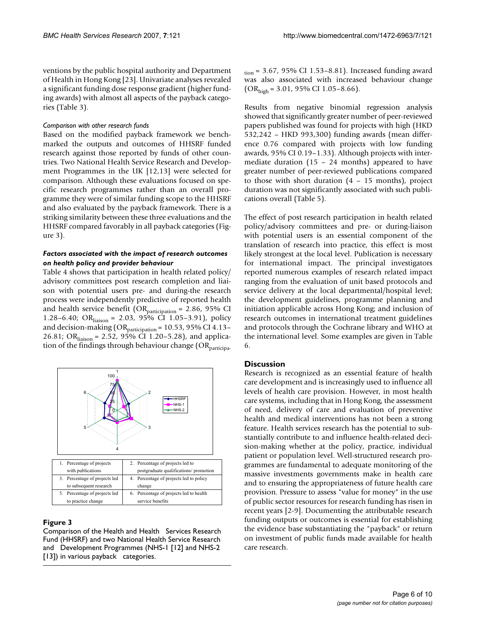of Health in Hong Kong [23]. Univariate analyses revealed ventions by the public hospital authority and Department a significant funding dose response gradient (higher funding awards) with almost all aspects of the payback categories (Table 3).

### *Comparison with other research funds*

Based on the modified payback framework we benchmarked the outputs and outcomes of HHSRF funded research against those reported by funds of other countries. Two National Health Service Research and Development Programmes in the UK [12,13] were selected for comparison. Although these evaluations focused on specific research programmes rather than an overall programme they were of similar funding scope to the HHSRF and also evaluated by the payback framework. There is a striking similarity between these three evaluations and the HHSRF compared favorably in all payback categories (Figure 3).

# *Factors associated with the impact of research outcomes on health policy and provider behaviour*

Table 4 shows that participation in health related policy/ advisory committees post research completion and liaison with potential users pre- and during-the research process were independently predictive of reported health and health service benefit ( $OR$ <sub>participation</sub> = 2.86, 95% CI 1.28–6.40; OR<sub>liaison</sub> = 2.03, 95% CI 1.05–3.91), policy and decision-making (OR<sub>participation</sub> = 10.53, 95% CI 4.13-26.81; OR<sub>liaison</sub> = 2.52, 95% CI 1.20-5.28), and application of the findings through behaviour change  $(OR_{participa} -)$ 



# Comparison of the Health and Fund (HHSRF) and two National Health Service Research and Development Programmes (NHS-1 [12] and NHS-2 [13]) in various payback categories Health Services Research **Figure 3**

Comparison of the Health and Health Services Research Fund (HHSRF) and two National Health Service Research and Development Programmes (NHS-1 [12] and NHS-2 [13]) in various payback categories.

 $t_{\text{ion}}$  = 3.67, 95% CI 1.53–8.81). Increased funding award was also associated with increased behaviour change  $(OR<sub>high</sub> = 3.01, 95\% CI 1.05-8.66).$ 

 to those with short duration (4 – 15 months), project Results from negative binomial regression analysis showed that significantly greater number of peer-reviewed papers published was found for projects with high (HKD 532,242 – HKD 993,300) funding awards (mean difference 0.76 compared with projects with low funding awards, 95% CI 0.19–1.33). Although projects with intermediate duration (15 – 24 months) appeared to have greater number of peer-reviewed publications compared duration was not significantly associated with such publications overall (Table 5).

 initiation applicable across Hong Kong; and inclusion of The effect of post research participation in health related policy/advisory committees and pre- or during-liaison with potential users is an essential component of the translation of research into practice, this effect is most likely strongest at the local level. Publication is necessary for international impact. The principal investigators reported numerous examples of research related impact ranging from the evaluation of unit based protocols and service delivery at the local departmental/hospital level; the development guidelines, programme planning and research outcomes in international treatment guidelines and protocols through the Cochrane library and WHO at the international level. Some examples are given in Table 6.

# **Discussion**

 levels of health care provision. However, in most health health and medical interventions has not been a strong Research is recognized as an essential feature of health care development and is increasingly used to influence all care systems, including that in Hong Kong, the assessment of need, delivery of care and evaluation of preventive feature. Health services research has the potential to substantially contribute to and influence health-related decision-making whether at the policy, practice, individual patient or population level. Well-structured research programmes are fundamental to adequate monitoring of the massive investments governments make in health care and to ensuring the appropriateness of future health care provision. Pressure to assess "value for money" in the use of public sector resources for research funding has risen in recent years [2-9]. Documenting the attributable research funding outputs or outcomes is essential for establishing the evidence base substantiating the "payback" or return on investment of public funds made available for health care research.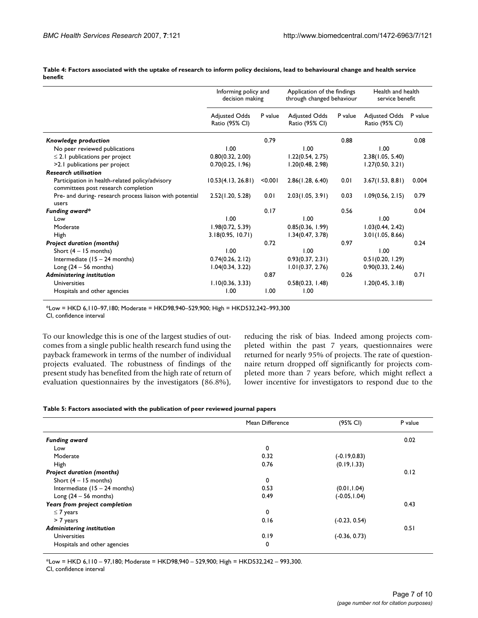**Table 4: Factors associated with the uptake of research to inform policy decisions, lead to behavioural change and health service benefit** 

|                                                                                        | Informing policy and<br>decision making |         | Application of the findings<br>through changed behaviour |         | Health and health<br>service benefit   |         |
|----------------------------------------------------------------------------------------|-----------------------------------------|---------|----------------------------------------------------------|---------|----------------------------------------|---------|
|                                                                                        | <b>Adjusted Odds</b><br>Ratio (95% CI)  | P value | <b>Adjusted Odds</b><br>Ratio (95% CI)                   | P value | <b>Adjusted Odds</b><br>Ratio (95% CI) | P value |
| Knowledge production                                                                   |                                         | 0.79    |                                                          | 0.88    |                                        | 0.08    |
| No peer reviewed publications                                                          | 1.00                                    |         | 1.00                                                     |         | 1.00                                   |         |
| $\leq$ 2.1 publications per project                                                    | 0.80(0.32, 2.00)                        |         | 1.22(0.54, 2.75)                                         |         | 2.38(1.05, 5.40)                       |         |
| >2.1 publications per project                                                          | 0.70(0.25, 1.96)                        |         | 1.20(0.48, 2.98)                                         |         | 1.27(0.50, 3.21)                       |         |
| <b>Research utilisation</b>                                                            |                                         |         |                                                          |         |                                        |         |
| Participation in health-related policy/advisory<br>committees post research completion | 10.53(4.13, 26.81)                      | < 0.001 | 2.86(1.28, 6.40)                                         | 0.01    | 3.67(1.53, 8.81)                       | 0.004   |
| Pre- and during- research process liaison with potential<br>users                      | 2.52(1.20, 5.28)                        | 0.01    | 2.03(1.05, 3.91)                                         | 0.03    | 1.09(0.56, 2.15)                       | 0.79    |
| Funding award*                                                                         |                                         | 0.17    |                                                          | 0.56    |                                        | 0.04    |
| Low                                                                                    | 1.00                                    |         | 1.00                                                     |         | 1.00                                   |         |
| Moderate                                                                               | 1.98(0.72, 5.39)                        |         | 0.85(0.36, 1.99)                                         |         | 1.03(0.44, 2.42)                       |         |
| High                                                                                   | 3.18(0.95, 10.71)                       |         | 1.34(0.47, 3.78)                                         |         | 3.01(1.05, 8.66)                       |         |
| <b>Project duration (months)</b>                                                       |                                         | 0.72    |                                                          | 0.97    |                                        | 0.24    |
| Short $(4 - 15$ months)                                                                | 1.00                                    |         | 1.00                                                     |         | 1.00                                   |         |
| Intermediate $(15 - 24$ months)                                                        | 0.74(0.26, 2.12)                        |         | 0.93(0.37, 2.31)                                         |         | 0.51(0.20, 1.29)                       |         |
| Long $(24 – 56$ months)                                                                | 1.04(0.34, 3.22)                        |         | 1.01(0.37, 2.76)                                         |         | 0.90(0.33, 2.46)                       |         |
| <b>Administering institution</b>                                                       |                                         | 0.87    |                                                          | 0.26    |                                        | 0.71    |
| Universities                                                                           | 1.10(0.36, 3.33)                        |         | 0.58(0.23, 1.48)                                         |         | 1.20(0.45, 3.18)                       |         |
| Hospitals and other agencies                                                           | 1.00                                    | 1.00    | 1.00                                                     |         |                                        |         |

\*Low = HKD 6,110–97,180; Moderate = HKD98,940–529,900; High = HKD532,242–993,300

CI, confidence interval

To our knowledge this is one of the largest studies of out- reducing the risk of bias. Indeed among projects comcomes from a single public health research fund using the pleted within the past 7 years, questionnaires were payback framework in terms of the number of individual returned for nearly 95% of projects. The rate of questionprojects evaluated. The robustness of findings of the naire return dropped off significantly for projects compresent study has benefited from the high rate of return of pleted more than 7 years before, which might reflect a evaluation questionnaires by the investigators (86.8%), lower incentive for investigators to respond due to the

#### **Table 5: Factors associated with the publication of peer reviewed journal papers**

|                                  | Mean Difference | (95% CI)        | P value |
|----------------------------------|-----------------|-----------------|---------|
| <b>Funding award</b>             |                 |                 | 0.02    |
| Low                              | 0               |                 |         |
| Moderate                         | 0.32            | $(-0.19, 0.83)$ |         |
| High                             | 0.76            | (0.19, 1.33)    |         |
| <b>Project duration (months)</b> |                 |                 | 0.12    |
| Short $(4 - 15$ months)          | 0               |                 |         |
| Intermediate $(15 - 24$ months)  | 0.53            | (0.01, 1.04)    |         |
| Long $(24 - 56$ months)          | 0.49            | $(-0.05, 1.04)$ |         |
| Years from project completion    |                 |                 | 0.43    |
| $\leq$ 7 years                   | $\mathbf 0$     |                 |         |
| > 7 years                        | 0.16            | $(-0.23, 0.54)$ |         |
| <b>Administering institution</b> |                 |                 | 0.51    |
| <b>Universities</b>              | 0.19            | $(-0.36, 0.73)$ |         |
| Hospitals and other agencies     | 0               |                 |         |

\*Low = HKD 6,110 – 97,180; Moderate = HKD98,940 – 529,900; High = HKD532,242 – 993,300.

CI, confidence interval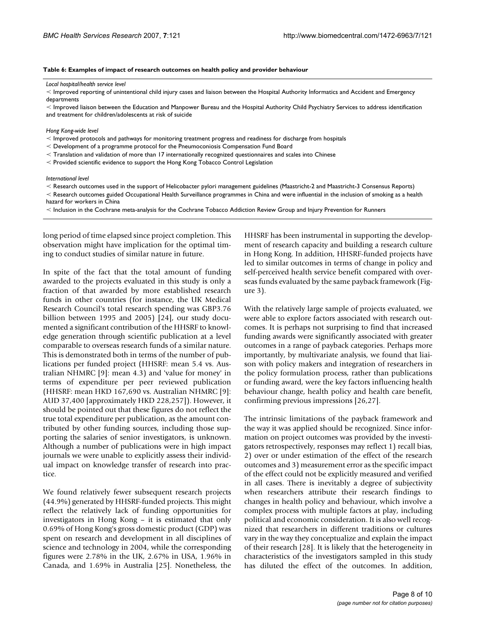#### **Table 6: Examples of impact of research outcomes on health policy and provider behaviour**

*Local hospital/health service level* 

 $<$  Improved reporting of unintentional child injury cases and liaison between the Hospital Authority Informatics and Accident and Emergency departments

 $<$  Improved liaison between the Education and Manpower Bureau and the Hospital Authority Child Psychiatry Services to address identification and treatment for children/adolescents at risk of suicide

*Hong Kong-wide level* 

 $\leq$  Improved protocols and pathways for monitoring treatment progress and readiness for discharge from hospitals

- Development of a programme protocol for the Pneumoconiosis Compensation Fund Board

 $\leq$  Translation and validation of more than 17 internationally recognized questionnaires and scales into Chinese

 $<$  Provided scientific evidence to support the Hong Kong Tobacco Control Legislation

*International level* 

 $<$  Research outcomes used in the support of Helicobacter pylori management guidelines (Maastricht-2 and Maastricht-3 Consensus Reports)

 $<$  Research outcomes guided Occupational Health Surveillance programmes in China and were influential in the inclusion of smoking as a health hazard for workers in China

 $<$  Inclusion in the Cochrane meta-analysis for the Cochrane Tobacco Addiction Review Group and Injury Prevention for Runners

long period of time elapsed since project completion. This observation might have implication for the optimal timing to conduct studies of similar nature in future.

 mented a significant contribution of the HHSRF to knowl- Although a number of publications were in high impact In spite of the fact that the total amount of funding awarded to the projects evaluated in this study is only a fraction of that awarded by more established research funds in other countries (for instance, the UK Medical Research Council's total research spending was GBP3.76 billion between 1995 and 2005) [24], our study docuedge generation through scientific publication at a level comparable to overseas research funds of a similar nature. This is demonstrated both in terms of the number of publications per funded project (HHSRF: mean 5.4 vs. Australian NHMRC [9]: mean 4.3) and 'value for money' in terms of expenditure per peer reviewed publication (HHSRF: mean HKD 167,690 vs. Australian NHMRC [9]: AUD 37,400 [approximately HKD 228,257]). However, it should be pointed out that these figures do not reflect the true total expenditure per publication, as the amount contributed by other funding sources, including those supporting the salaries of senior investigators, is unknown. journals we were unable to explicitly assess their individual impact on knowledge transfer of research into practice.

 investigators in Hong Kong – it is estimated that only We found relatively fewer subsequent research projects (44.9%) generated by HHSRF-funded projects. This might reflect the relatively lack of funding opportunities for 0.69% of Hong Kong's gross domestic product (GDP) was spent on research and development in all disciplines of science and technology in 2004, while the corresponding figures were 2.78% in the UK, 2.67% in USA, 1.96% in Canada, and 1.69% in Australia [25]. Nonetheless, the

 HHSRF has been instrumental in supporting the development of research capacity and building a research culture in Hong Kong. In addition, HHSRF-funded projects have led to similar outcomes in terms of change in policy and self-perceived health service benefit compared with overseas funds evaluated by the same payback framework (Figure 3).

With the relatively large sample of projects evaluated, we were able to explore factors associated with research outcomes. It is perhaps not surprising to find that increased funding awards were significantly associated with greater outcomes in a range of payback categories. Perhaps more importantly, by multivariate analysis, we found that liaison with policy makers and integration of researchers in the policy formulation process, rather than publications or funding award, were the key factors influencing health behaviour change, health policy and health care benefit, confirming previous impressions [26,27].

 of the effect could not be explicitly measured and verified The intrinsic limitations of the payback framework and the way it was applied should be recognized. Since information on project outcomes was provided by the investigators retrospectively, responses may reflect 1) recall bias, 2) over or under estimation of the effect of the research outcomes and 3) measurement error as the specific impact in all cases. There is inevitably a degree of subjectivity when researchers attribute their research findings to changes in health policy and behaviour, which involve a complex process with multiple factors at play, including political and economic consideration. It is also well recognized that researchers in different traditions or cultures vary in the way they conceptualize and explain the impact of their research [28]. It is likely that the heterogeneity in characteristics of the investigators sampled in this study has diluted the effect of the outcomes. In addition,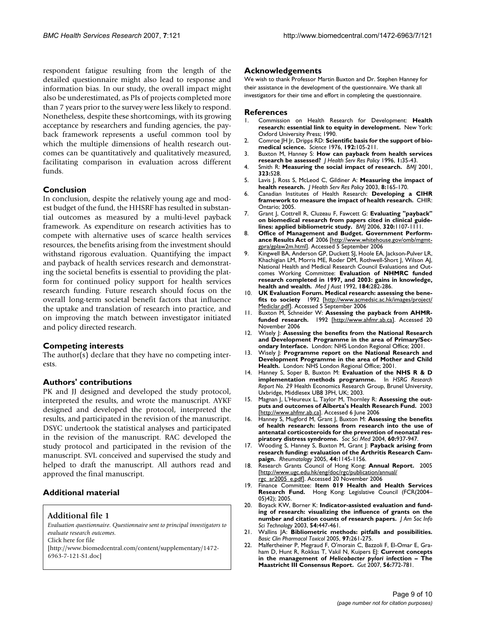which the multiple dimensions of health research outrespondent fatigue resulting from the length of the detailed questionnaire might also lead to response and information bias. In our study, the overall impact might also be underestimated, as PIs of projects completed more than 7 years prior to the survey were less likely to respond. Nonetheless, despite these shortcomings, with its growing acceptance by researchers and funding agencies, the payback framework represents a useful common tool by comes can be quantitatively and qualitatively measured, facilitating comparison in evaluation across different funds.

# **Conclusion**

In conclusion, despite the relatively young age and modest budget of the fund, the HHSRF has resulted in substantial outcomes as measured by a multi-level payback framework. As expenditure on research activities has to compete with alternative uses of scarce health services resources, the benefits arising from the investment should withstand rigorous evaluation. Quantifying the impact and payback of health services research and demonstrating the societal benefits is essential to providing the platform for continued policy support for health services research funding. Future research should focus on the overall long-term societal benefit factors that influence the uptake and translation of research into practice, and on improving the match between investigator initiated and policy directed research.

# **Competing interests**

The author(s) declare that they have no competing interests.

# **Authors' contributions**

PK and JJ designed and developed the study protocol, interpreted the results, and wrote the manuscript. AYKF designed and developed the protocol, interpreted the results, and participated in the revision of the manuscript. DSYC undertook the statistical analyses and participated in the revision of the manuscript. RAC developed the study protocol and participated in the revision of the manuscript. SVL conceived and supervised the study and helped to draft the manuscript. All authors read and approved the final manuscript.

# **Additional material**

### **Additional file 1**

*Evaluation questionnaire. Questionnaire sent to principal investigators to evaluate research outcomes.*  Click here for file [\[http://www.biomedcentral.com/content/supplementary/1472-](http://www.biomedcentral.com/content/supplementary/1472-6963-7-121-S1.doc) 6963-7-121-S1.doc]

# **Acknowledgements**

 We wish to thank Professor Martin Buxton and Dr. Stephen Hanney for their assistance in the development of the questionnaire. We thank all investigators for their time and effort in completing the questionnaire.

#### **References**

- 1. Commission on Health Research for Development: **Health research: essential link to equity in development.** New York: Oxford University Press; 1990.
- **[medical science.](http://www.ncbi.nlm.nih.gov/entrez/query.fcgi?cmd=Retrieve&db=PubMed&dopt=Abstract&list_uids=769161)** *Science* 1976, **192:**105-211. 2. Comroe JH Jr, Dripps RD: **[Scientific basis for the support of bio-](http://www.ncbi.nlm.nih.gov/entrez/query.fcgi?cmd=Retrieve&db=PubMed&dopt=Abstract&list_uids=769161)**
- 3. Buxton M, Hanney S: **[How can payback from health services](http://www.ncbi.nlm.nih.gov/entrez/query.fcgi?cmd=Retrieve&db=PubMed&dopt=Abstract&list_uids=10180843) [research be assessed?](http://www.ncbi.nlm.nih.gov/entrez/query.fcgi?cmd=Retrieve&db=PubMed&dopt=Abstract&list_uids=10180843)** *J Health Serv Res Policy* 1996, **1:**35-43.
- 4. Smith R: **[Measuring the social impact of research.](http://www.ncbi.nlm.nih.gov/entrez/query.fcgi?cmd=Retrieve&db=PubMed&dopt=Abstract&list_uids=11546684)** *BMJ* 2001, **323:**528.
- **[health research.](http://www.ncbi.nlm.nih.gov/entrez/query.fcgi?cmd=Retrieve&db=PubMed&dopt=Abstract&list_uids=12869343)** *J Health Serv Res Policy* 2003, **8:**165-170. 5. Lavis J, Ross S, McLeod C, Gildiner A: **[Measuring the impact of](http://www.ncbi.nlm.nih.gov/entrez/query.fcgi?cmd=Retrieve&db=PubMed&dopt=Abstract&list_uids=12869343)**
- **framework to measure the impact of health research.** CHIR: 6. Canadian Institutes of Health Research: **Developing a CIHR**  Ontario; 2005.
- **lines: applied bibliometric study.** *BMJ* 2006, **320:**1107-1111. 7. Grant J, Cottrell R, Cluzeau F, Fawcett G: **Evaluating "payback" on biomedical research from papers cited in clinical guide-**
- **ance Results Act of** 2006 [[http://www.whitehouse.gov/omb/mgmt-](http://www.whitehouse.gov/omb/mgmt-gpra/gplaw2m.html)8. **Office of Management and Budget. Government Perform**g<u>pra/gplaw2m.html]</u>. Accessed 5 September 2006
- **health and wealth.** *Med J Aust* 1992, **184:**282-286. 9. Kingwell BA, Anderson GP, Duckett SJ, Hoole EA, Jackson-Pulver LR, Khachigian LM, Morris ME, Roder DM, Rothwell-Short J, Wilson AJ, National Health and Medical Research Council Evaluations and Outcomes Working Committee: **Evaluation of NHMRC funded research completed in 1997, and 2003: gains in knowledge,**
- 10. **UK Evaluation Forum. Medical research: assessing the benefits to society** 1992 [\[http://www.acmedsic.ac.hk/images/project/](http://www.acmedsic.ac.hk/images/project/Mediclar.pdf) [Mediclar.pdf\]](http://www.acmedsic.ac.hk/images/project/Mediclar.pdf). Accessed 5 September 2006
- 11. Buxton M, Schneider W: **Assessing the payback from AHMRfunded research.** 1992 [\[http://www.ahfmr.ab.ca\]](http://www.ahfmr.ab.ca). Accessed 20 November 2006
- 12. Wisely J: **Assessing the benefits from the National Research and Development Programme in the area of Primary/Secondary Interface.** London: NHS London Regional Office; 2001.
- **Health.** London: NHS London Regional Office; 2001. 13. Wisely J: **Programme report on the National Research and Development Programme in the area of Mother and Child**
- **implementation methods programme.** In *HSRG Research*  14. Hanney S, Soper B, Buxton M: **Evaluation of the NHS R & D**  *Report No. 29* Health Economics Research Group, Brunel University, Uxbridge, Middlesex UB8 3PH, UK; 2003.
- 15. Magnan J, L'Heureux L, Taylor M, Thornley R: **Assessing the outputs and outcomes of Alberta's Health Research Fund.** 2003 [[http://www.ahfmr.ab.ca\]](http://www.ahfmr.ab.ca). Accessed 6 June 2006
- **piratory distress syndrome.** *Soc Sci Med* 2004, **60:**937-947. 16. Hanney S, Mugford M, Grant J, Buxton M: **Assessing the benefits of health research: lessons from research into the use of antenatal corticosteroids for the prevention of neonatal res-**
- **[paign.](http://www.ncbi.nlm.nih.gov/entrez/query.fcgi?cmd=Retrieve&db=PubMed&dopt=Abstract&list_uids=16049052)** *Rheumatology* 2005, **44:**1145-1156. 17. Wooding S, Hanney S, Buxton M, Grant J: **[Payback arising from](http://www.ncbi.nlm.nih.gov/entrez/query.fcgi?cmd=Retrieve&db=PubMed&dopt=Abstract&list_uids=16049052)  [research funding: evaluation of the Arthritis Research Cam-](http://www.ncbi.nlm.nih.gov/entrez/query.fcgi?cmd=Retrieve&db=PubMed&dopt=Abstract&list_uids=16049052)**
- 18. Research Grants Council of Hong Kong: **Annual Report.** 2005 [[http://www.ugc.edu.hk/eng/doc/rgc/publication/annual/](http://www.ugc.edu.hk/eng/doc/rgc/publication/annual/rgc_ar2005_e.pdf)  [rgc\\_ar2005\\_e.pdf](http://www.ugc.edu.hk/eng/doc/rgc/publication/annual/rgc_ar2005_e.pdf)]. Accessed 20 November 2006
- 19. Finance Committee: **Item 019 Health and Health Services Research Fund.** Hong Kong: Legislative Council (FCR(2004– 05)42); 2005.
- **number and citation counts of research papers.** *J Am Soc Info*  20. Boyack KW, Borner K: **Indicator-assisted evaluation and funding of research: visualizing the influence of grants on the**  *Sci Technology* 2003, **54:**447-461.
- 21. Wallins JA: **[Bibliometric methods: pitfalls and possibilities.](http://www.ncbi.nlm.nih.gov/entrez/query.fcgi?cmd=Retrieve&db=PubMed&dopt=Abstract&list_uids=16236137)**  *Basic Clin Pharmacol Toxicol* 2005, **97:**261-275.
- **[Maastricht III Consensus Report.](http://www.ncbi.nlm.nih.gov/entrez/query.fcgi?cmd=Retrieve&db=PubMed&dopt=Abstract&list_uids=17170018)** *Gut* 2007, **56:**772-781. 22. Malfertheiner P, Megraud F, O'morain C, Bazzoli F, El-Omar E, Graham D, Hunt R, Rokkas T, Vakil N, Kuipers EJ: **Current concepts in the management of** *Helicobacter pylori* **[infection – The](http://www.ncbi.nlm.nih.gov/entrez/query.fcgi?cmd=Retrieve&db=PubMed&dopt=Abstract&list_uids=17170018)**